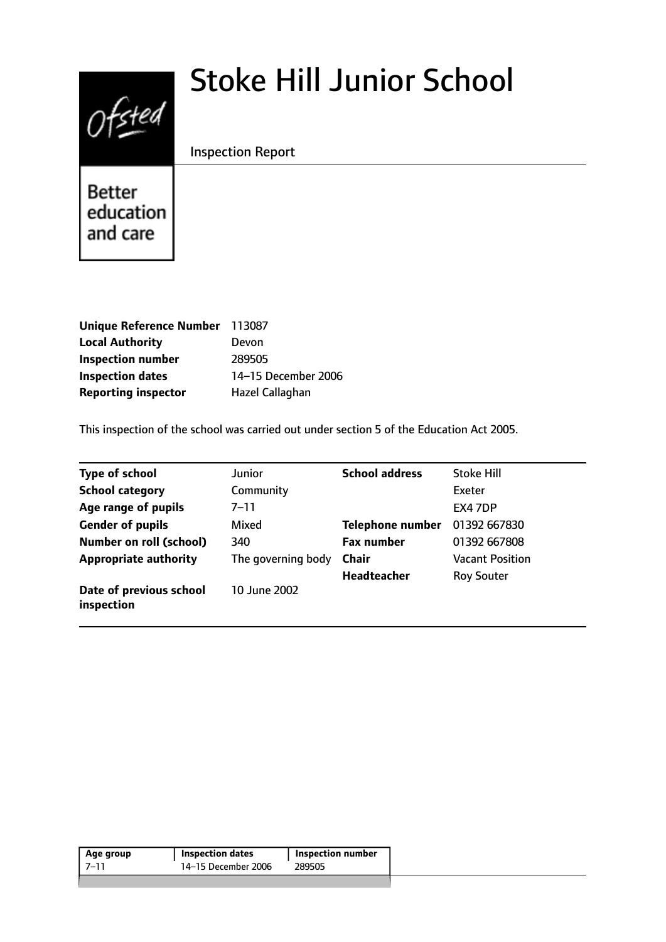# Stoke Hill Junior School



Inspection Report

Better education and care

| Unique Reference Number 113087 |                     |
|--------------------------------|---------------------|
| <b>Local Authority</b>         | Devon               |
| <b>Inspection number</b>       | 289505              |
| <b>Inspection dates</b>        | 14-15 December 2006 |
| <b>Reporting inspector</b>     | Hazel Callaghan     |

This inspection of the school was carried out under section 5 of the Education Act 2005.

| <b>Type of school</b>                 | <b>Junior</b>      | <b>School address</b>   | <b>Stoke Hill</b>      |
|---------------------------------------|--------------------|-------------------------|------------------------|
| <b>School category</b>                | Community          |                         | Exeter                 |
| Age range of pupils                   | 7–11               |                         | EX4 7DP                |
| <b>Gender of pupils</b>               | Mixed              | <b>Telephone number</b> | 01392 667830           |
| <b>Number on roll (school)</b>        | 340                | <b>Fax number</b>       | 01392 667808           |
| <b>Appropriate authority</b>          | The governing body | <b>Chair</b>            | <b>Vacant Position</b> |
|                                       |                    | <b>Headteacher</b>      | <b>Roy Souter</b>      |
| Date of previous school<br>inspection | 10 June 2002       |                         |                        |

| Age group | <b>Inspection dates</b> | Inspection number |
|-----------|-------------------------|-------------------|
| -7–11     | 14-15 December 2006     | 289505            |
|           |                         |                   |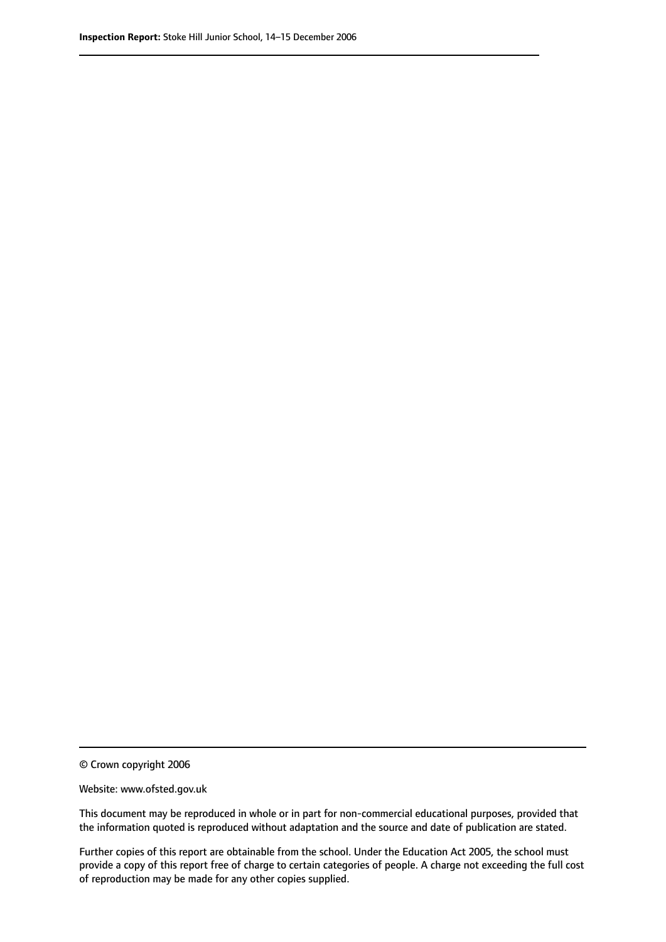© Crown copyright 2006

Website: www.ofsted.gov.uk

This document may be reproduced in whole or in part for non-commercial educational purposes, provided that the information quoted is reproduced without adaptation and the source and date of publication are stated.

Further copies of this report are obtainable from the school. Under the Education Act 2005, the school must provide a copy of this report free of charge to certain categories of people. A charge not exceeding the full cost of reproduction may be made for any other copies supplied.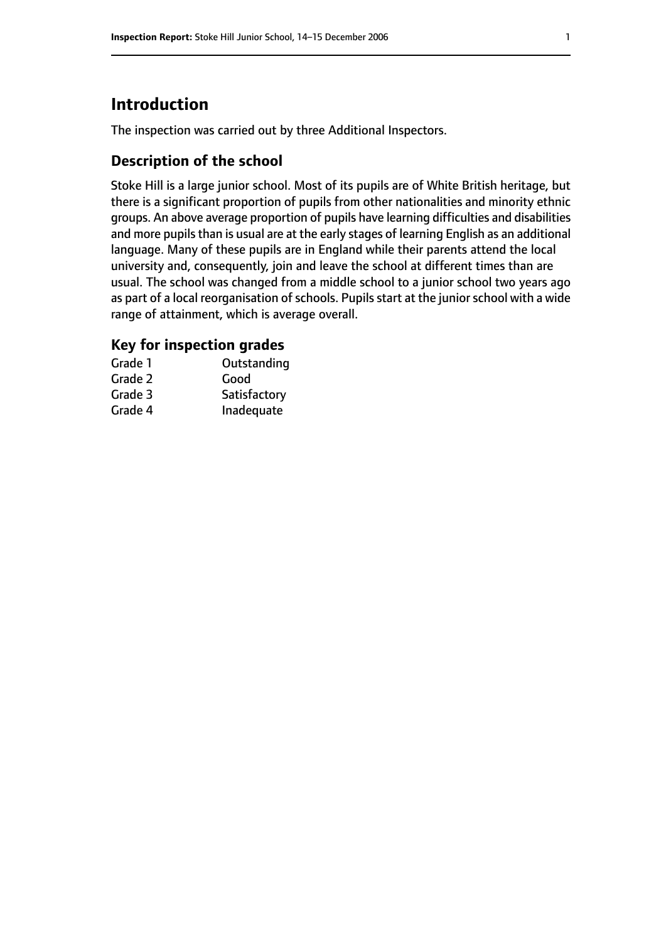# **Introduction**

The inspection was carried out by three Additional Inspectors.

## **Description of the school**

Stoke Hill is a large junior school. Most of its pupils are of White British heritage, but there is a significant proportion of pupils from other nationalities and minority ethnic groups. An above average proportion of pupils have learning difficulties and disabilities and more pupils than is usual are at the early stages of learning English as an additional language. Many of these pupils are in England while their parents attend the local university and, consequently, join and leave the school at different times than are usual. The school was changed from a middle school to a junior school two years ago as part of a local reorganisation of schools. Pupils start at the junior school with a wide range of attainment, which is average overall.

## **Key for inspection grades**

| Grade 1 | Outstanding  |
|---------|--------------|
| Grade 2 | Good         |
| Grade 3 | Satisfactory |
| Grade 4 | Inadequate   |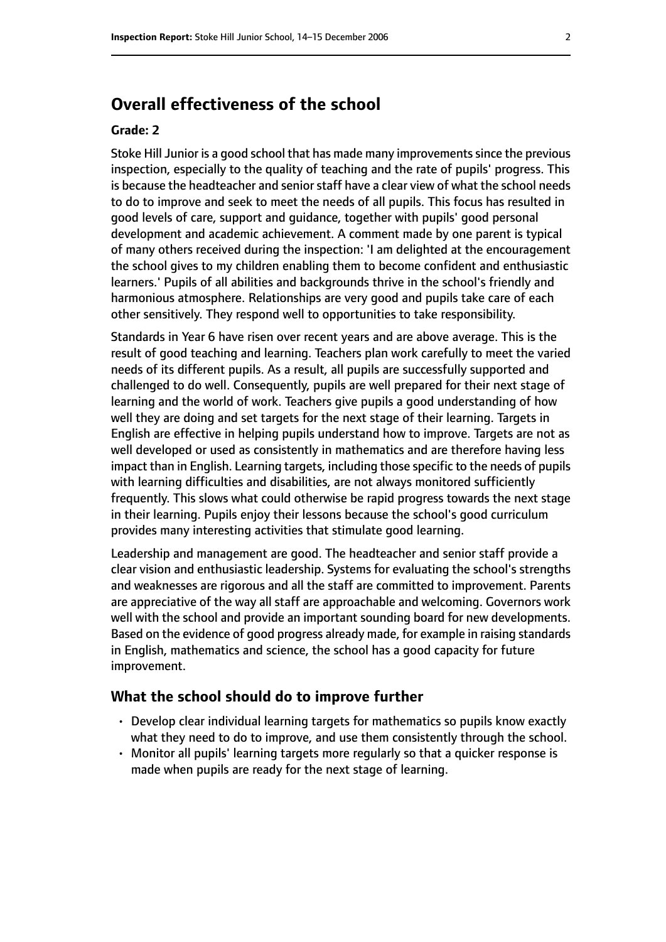## **Overall effectiveness of the school**

#### **Grade: 2**

Stoke Hill Junior is a good school that has made many improvementssince the previous inspection, especially to the quality of teaching and the rate of pupils' progress. This is because the headteacher and senior staff have a clear view of what the school needs to do to improve and seek to meet the needs of all pupils. This focus has resulted in good levels of care, support and guidance, together with pupils' good personal development and academic achievement. A comment made by one parent is typical of many others received during the inspection: 'I am delighted at the encouragement the school gives to my children enabling them to become confident and enthusiastic learners.' Pupils of all abilities and backgrounds thrive in the school's friendly and harmonious atmosphere. Relationships are very good and pupils take care of each other sensitively. They respond well to opportunities to take responsibility.

Standards in Year 6 have risen over recent years and are above average. This is the result of good teaching and learning. Teachers plan work carefully to meet the varied needs of its different pupils. As a result, all pupils are successfully supported and challenged to do well. Consequently, pupils are well prepared for their next stage of learning and the world of work. Teachers give pupils a good understanding of how well they are doing and set targets for the next stage of their learning. Targets in English are effective in helping pupils understand how to improve. Targets are not as well developed or used as consistently in mathematics and are therefore having less impact than in English. Learning targets, including those specific to the needs of pupils with learning difficulties and disabilities, are not always monitored sufficiently frequently. This slows what could otherwise be rapid progress towards the next stage in their learning. Pupils enjoy their lessons because the school's good curriculum provides many interesting activities that stimulate good learning.

Leadership and management are good. The headteacher and senior staff provide a clear vision and enthusiastic leadership. Systems for evaluating the school's strengths and weaknesses are rigorous and all the staff are committed to improvement. Parents are appreciative of the way all staff are approachable and welcoming. Governors work well with the school and provide an important sounding board for new developments. Based on the evidence of good progress already made, for example in raising standards in English, mathematics and science, the school has a good capacity for future improvement.

#### **What the school should do to improve further**

- Develop clear individual learning targets for mathematics so pupils know exactly what they need to do to improve, and use them consistently through the school.
- Monitor all pupils' learning targets more regularly so that a quicker response is made when pupils are ready for the next stage of learning.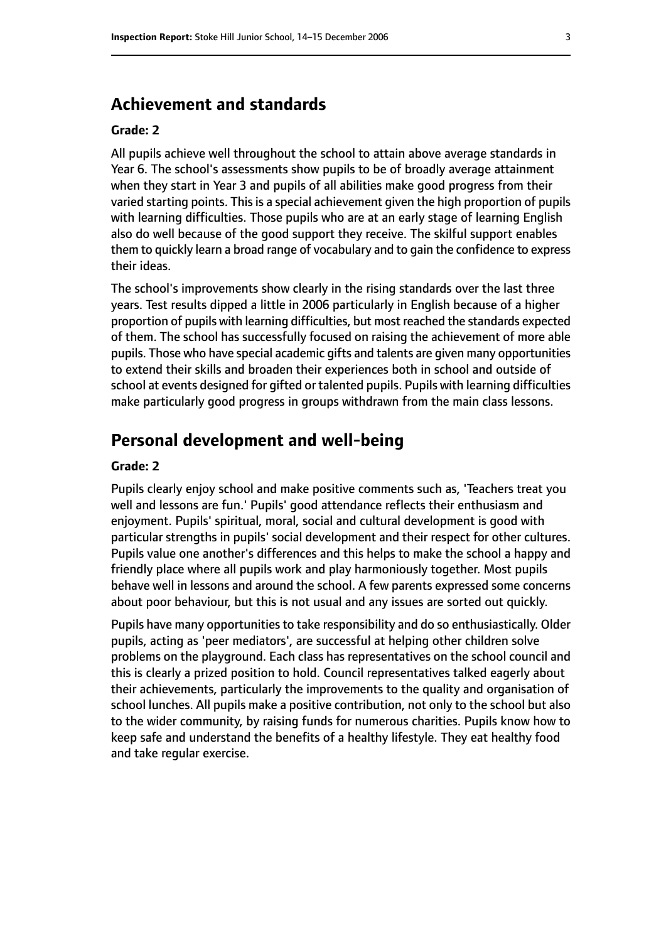## **Achievement and standards**

#### **Grade: 2**

All pupils achieve well throughout the school to attain above average standards in Year 6. The school's assessments show pupils to be of broadly average attainment when they start in Year 3 and pupils of all abilities make good progress from their varied starting points. This is a special achievement given the high proportion of pupils with learning difficulties. Those pupils who are at an early stage of learning English also do well because of the good support they receive. The skilful support enables them to quickly learn a broad range of vocabulary and to gain the confidence to express their ideas.

The school's improvements show clearly in the rising standards over the last three years. Test results dipped a little in 2006 particularly in English because of a higher proportion of pupils with learning difficulties, but most reached the standards expected of them. The school has successfully focused on raising the achievement of more able pupils. Those who have special academic gifts and talents are given many opportunities to extend their skills and broaden their experiences both in school and outside of school at events designed for gifted or talented pupils. Pupils with learning difficulties make particularly good progress in groups withdrawn from the main class lessons.

## **Personal development and well-being**

#### **Grade: 2**

Pupils clearly enjoy school and make positive comments such as, 'Teachers treat you well and lessons are fun.' Pupils' good attendance reflects their enthusiasm and enjoyment. Pupils' spiritual, moral, social and cultural development is good with particular strengths in pupils' social development and their respect for other cultures. Pupils value one another's differences and this helps to make the school a happy and friendly place where all pupils work and play harmoniously together. Most pupils behave well in lessons and around the school. A few parents expressed some concerns about poor behaviour, but this is not usual and any issues are sorted out quickly.

Pupils have many opportunities to take responsibility and do so enthusiastically. Older pupils, acting as 'peer mediators', are successful at helping other children solve problems on the playground. Each class has representatives on the school council and this is clearly a prized position to hold. Council representatives talked eagerly about their achievements, particularly the improvements to the quality and organisation of school lunches. All pupils make a positive contribution, not only to the school but also to the wider community, by raising funds for numerous charities. Pupils know how to keep safe and understand the benefits of a healthy lifestyle. They eat healthy food and take regular exercise.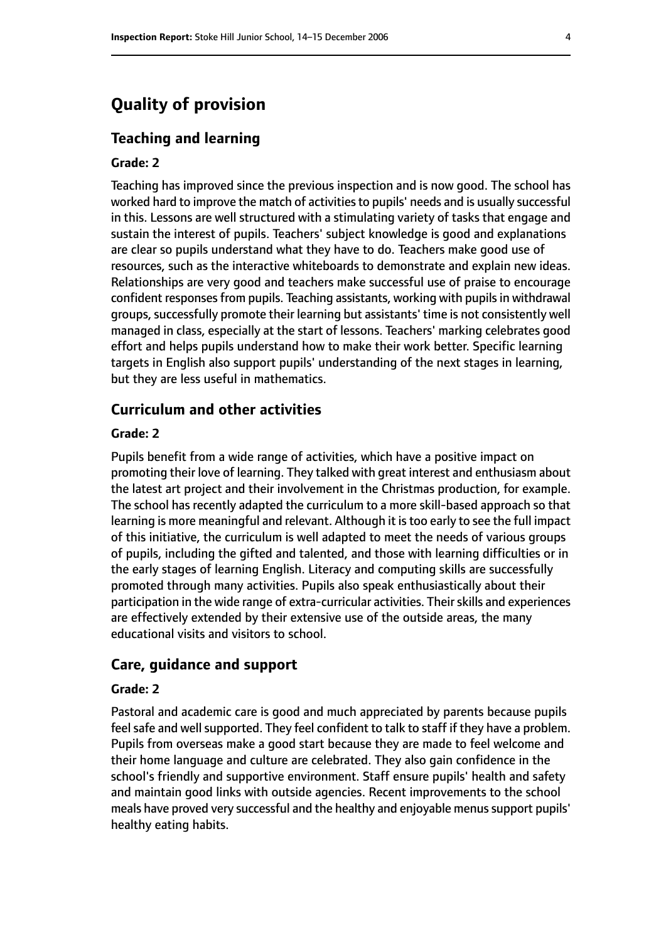## **Quality of provision**

#### **Teaching and learning**

#### **Grade: 2**

Teaching has improved since the previous inspection and is now good. The school has worked hard to improve the match of activities to pupils' needs and is usually successful in this. Lessons are well structured with a stimulating variety of tasks that engage and sustain the interest of pupils. Teachers' subject knowledge is good and explanations are clear so pupils understand what they have to do. Teachers make good use of resources, such as the interactive whiteboards to demonstrate and explain new ideas. Relationships are very good and teachers make successful use of praise to encourage confident responses from pupils. Teaching assistants, working with pupils in withdrawal groups, successfully promote their learning but assistants' time is not consistently well managed in class, especially at the start of lessons. Teachers' marking celebrates good effort and helps pupils understand how to make their work better. Specific learning targets in English also support pupils' understanding of the next stages in learning, but they are less useful in mathematics.

### **Curriculum and other activities**

#### **Grade: 2**

Pupils benefit from a wide range of activities, which have a positive impact on promoting their love of learning. They talked with great interest and enthusiasm about the latest art project and their involvement in the Christmas production, for example. The school has recently adapted the curriculum to a more skill-based approach so that learning is more meaningful and relevant. Although it istoo early to see the full impact of this initiative, the curriculum is well adapted to meet the needs of various groups of pupils, including the gifted and talented, and those with learning difficulties or in the early stages of learning English. Literacy and computing skills are successfully promoted through many activities. Pupils also speak enthusiastically about their participation in the wide range of extra-curricular activities. Their skills and experiences are effectively extended by their extensive use of the outside areas, the many educational visits and visitors to school.

#### **Care, guidance and support**

#### **Grade: 2**

Pastoral and academic care is good and much appreciated by parents because pupils feel safe and well supported. They feel confident to talk to staff if they have a problem. Pupils from overseas make a good start because they are made to feel welcome and their home language and culture are celebrated. They also gain confidence in the school's friendly and supportive environment. Staff ensure pupils' health and safety and maintain good links with outside agencies. Recent improvements to the school meals have proved very successful and the healthy and enjoyable menussupport pupils' healthy eating habits.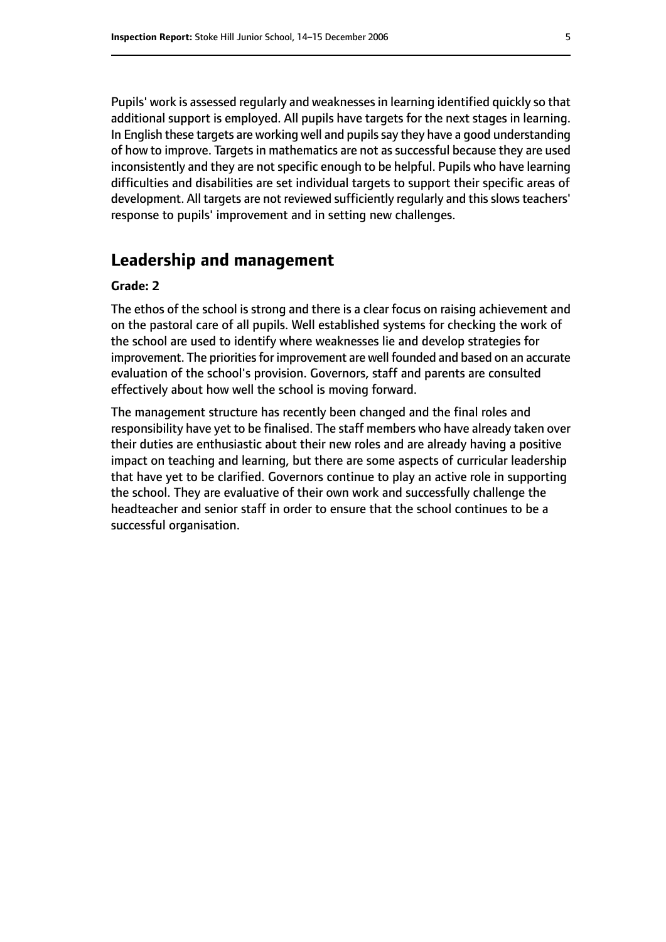Pupils' work is assessed regularly and weaknessesin learning identified quickly so that additional support is employed. All pupils have targets for the next stages in learning. In English these targets are working well and pupils say they have a good understanding of how to improve. Targets in mathematics are not as successful because they are used inconsistently and they are not specific enough to be helpful. Pupils who have learning difficulties and disabilities are set individual targets to support their specific areas of development. All targets are not reviewed sufficiently regularly and this slows teachers' response to pupils' improvement and in setting new challenges.

## **Leadership and management**

#### **Grade: 2**

The ethos of the school is strong and there is a clear focus on raising achievement and on the pastoral care of all pupils. Well established systems for checking the work of the school are used to identify where weaknesses lie and develop strategies for improvement. The priorities for improvement are well founded and based on an accurate evaluation of the school's provision. Governors, staff and parents are consulted effectively about how well the school is moving forward.

The management structure has recently been changed and the final roles and responsibility have yet to be finalised. The staff members who have already taken over their duties are enthusiastic about their new roles and are already having a positive impact on teaching and learning, but there are some aspects of curricular leadership that have yet to be clarified. Governors continue to play an active role in supporting the school. They are evaluative of their own work and successfully challenge the headteacher and senior staff in order to ensure that the school continues to be a successful organisation.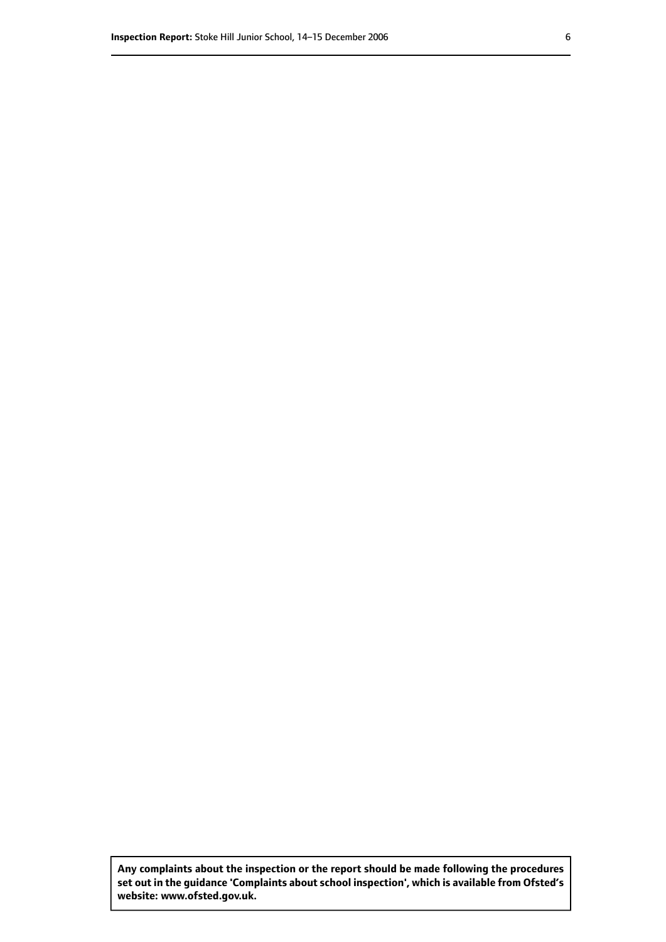**Any complaints about the inspection or the report should be made following the procedures set out inthe guidance 'Complaints about school inspection', whichis available from Ofsted's website: www.ofsted.gov.uk.**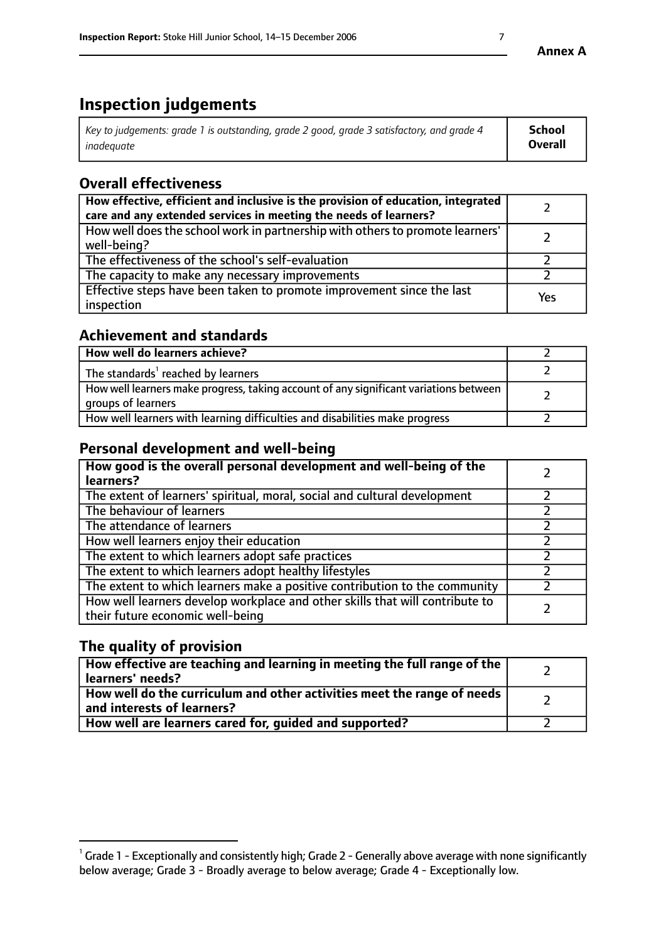# **Inspection judgements**

| Key to judgements: grade 1 is outstanding, grade 2 good, grade 3 satisfactory, and grade 4 | <b>School</b>  |
|--------------------------------------------------------------------------------------------|----------------|
| inadeauate                                                                                 | <b>Overall</b> |

## **Overall effectiveness**

| How effective, efficient and inclusive is the provision of education, integrated<br>care and any extended services in meeting the needs of learners? |     |
|------------------------------------------------------------------------------------------------------------------------------------------------------|-----|
| How well does the school work in partnership with others to promote learners'<br>well-being?                                                         |     |
| The effectiveness of the school's self-evaluation                                                                                                    |     |
| The capacity to make any necessary improvements                                                                                                      |     |
| Effective steps have been taken to promote improvement since the last<br>inspection                                                                  | Yes |

## **Achievement and standards**

| How well do learners achieve?                                                                               |  |
|-------------------------------------------------------------------------------------------------------------|--|
| The standards <sup>1</sup> reached by learners                                                              |  |
| How well learners make progress, taking account of any significant variations between<br>groups of learners |  |
| How well learners with learning difficulties and disabilities make progress                                 |  |

## **Personal development and well-being**

| How good is the overall personal development and well-being of the<br>learners?                                  |  |
|------------------------------------------------------------------------------------------------------------------|--|
| The extent of learners' spiritual, moral, social and cultural development                                        |  |
| The behaviour of learners                                                                                        |  |
| The attendance of learners                                                                                       |  |
| How well learners enjoy their education                                                                          |  |
| The extent to which learners adopt safe practices                                                                |  |
| The extent to which learners adopt healthy lifestyles                                                            |  |
| The extent to which learners make a positive contribution to the community                                       |  |
| How well learners develop workplace and other skills that will contribute to<br>their future economic well-being |  |

## **The quality of provision**

| How effective are teaching and learning in meeting the full range of the<br>learners' needs?          |  |
|-------------------------------------------------------------------------------------------------------|--|
| How well do the curriculum and other activities meet the range of needs<br>and interests of learners? |  |
| How well are learners cared for, quided and supported?                                                |  |

 $^1$  Grade 1 - Exceptionally and consistently high; Grade 2 - Generally above average with none significantly below average; Grade 3 - Broadly average to below average; Grade 4 - Exceptionally low.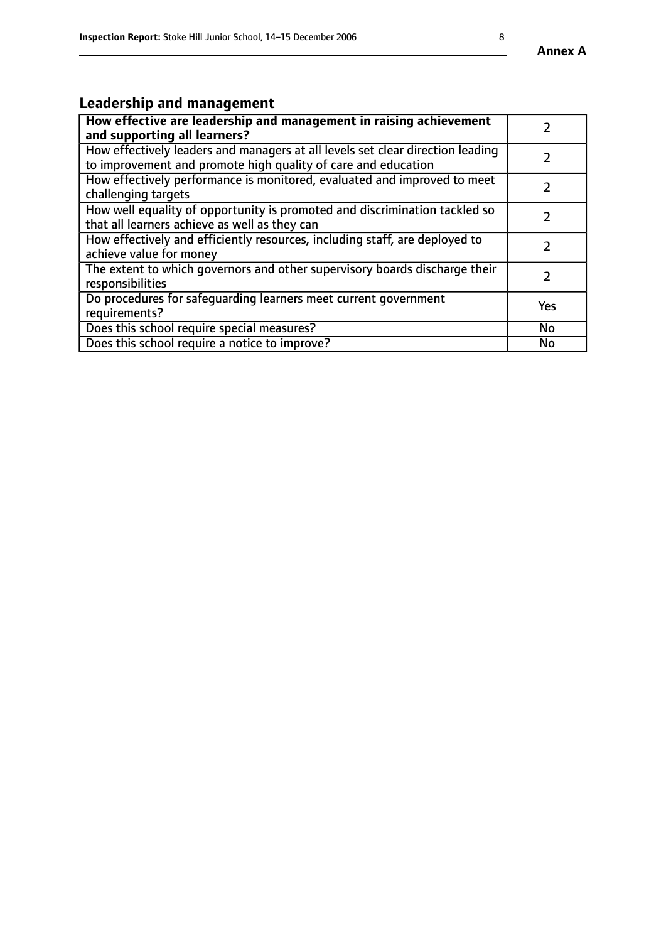#### **Annex A**

# **Leadership and management**

| How effective are leadership and management in raising achievement<br>and supporting all learners?                                              |               |
|-------------------------------------------------------------------------------------------------------------------------------------------------|---------------|
| How effectively leaders and managers at all levels set clear direction leading<br>to improvement and promote high quality of care and education |               |
| How effectively performance is monitored, evaluated and improved to meet<br>challenging targets                                                 | $\mathcal{L}$ |
| How well equality of opportunity is promoted and discrimination tackled so<br>that all learners achieve as well as they can                     |               |
| How effectively and efficiently resources, including staff, are deployed to<br>achieve value for money                                          | $\mathcal{P}$ |
| The extent to which governors and other supervisory boards discharge their<br>responsibilities                                                  |               |
| Do procedures for safequarding learners meet current government<br>requirements?                                                                | Yes           |
| Does this school require special measures?                                                                                                      | <b>No</b>     |
| Does this school require a notice to improve?                                                                                                   | No            |